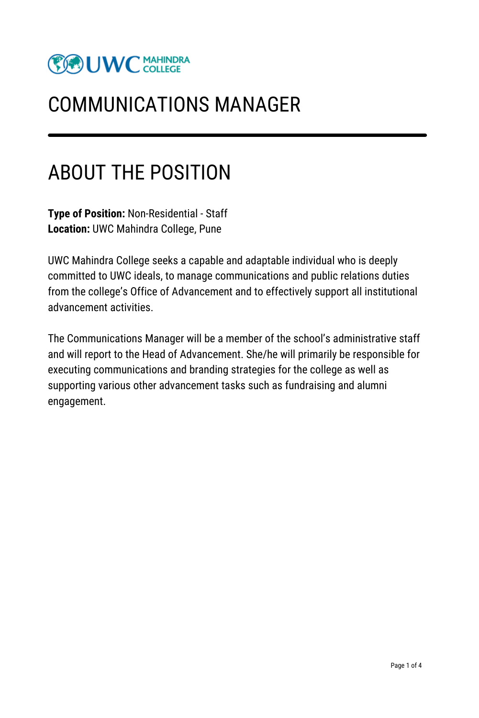

### COMMUNICATIONS MANAGER

### ABOUT THE POSITION

**Type of Position:** Non-Residential - Staff **Location:** UWC Mahindra College, Pune

UWC Mahindra College seeks a capable and adaptable individual who is deeply committed to UWC ideals, to manage communications and public relations duties from the college's Office of Advancement and to effectively support all institutional advancement activities.

The Communications Manager will be a member of the school's administrative staff and will report to the Head of Advancement. She/he will primarily be responsible for executing communications and branding strategies for the college as well as supporting various other advancement tasks such as fundraising and alumni engagement.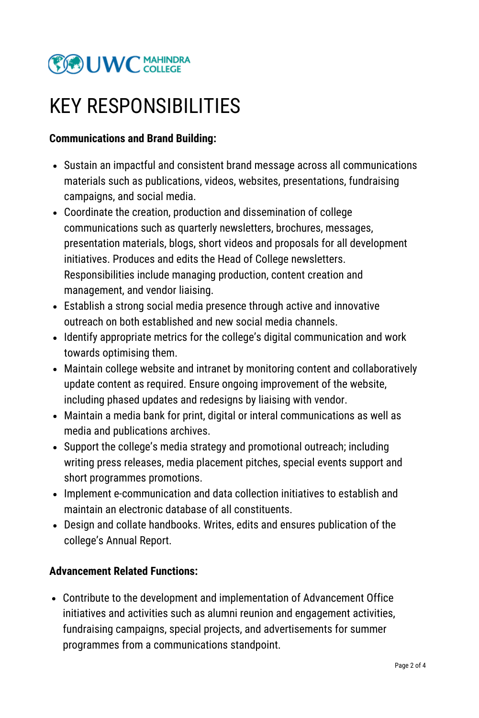

### KEY RESPONSIBILITIES

#### **Communications and Brand Building:**

- Sustain an impactful and consistent brand message across all communications materials such as publications, videos, websites, presentations, fundraising campaigns, and social media.
- Coordinate the creation, production and dissemination of college communications such as quarterly newsletters, brochures, messages, presentation materials, blogs, short videos and proposals for all development initiatives. Produces and edits the Head of College newsletters. Responsibilities include managing production, content creation and management, and vendor liaising.
- Establish a strong social media presence through active and innovative outreach on both established and new social media channels.
- Identify appropriate metrics for the college's digital communication and work towards optimising them.
- Maintain college website and intranet by monitoring content and collaboratively update content as required. Ensure ongoing improvement of the website, including phased updates and redesigns by liaising with vendor.
- Maintain a media bank for print, digital or interal communications as well as media and publications archives.
- Support the college's media strategy and promotional outreach; including writing press releases, media placement pitches, special events support and short programmes promotions.
- Implement e-communication and data collection initiatives to establish and maintain an electronic database of all constituents.
- Design and collate handbooks. Writes, edits and ensures publication of the college's Annual Report.

#### **Advancement Related Functions:**

Contribute to the development and implementation of Advancement Office initiatives and activities such as alumni reunion and engagement activities, fundraising campaigns, special projects, and advertisements for summer programmes from a communications standpoint.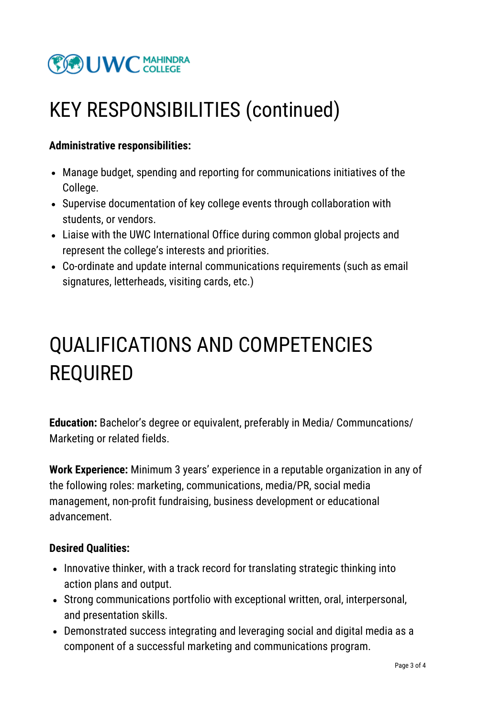

### KEY RESPONSIBILITIES (continued)

#### **Administrative responsibilities:**

- Manage budget, spending and reporting for communications initiatives of the College.
- Supervise documentation of key college events through collaboration with students, or vendors.
- Liaise with the UWC International Office during common global projects and represent the college's interests and priorities.
- Co-ordinate and update internal communications requirements (such as email signatures, letterheads, visiting cards, etc.)

## QUALIFICATIONS AND COMPETENCIES REQUIRED

**Education:** Bachelor's degree or equivalent, preferably in Media/ Communcations/ Marketing or related fields.

**Work Experience:** Minimum 3 years' experience in a reputable organization in any of the following roles: marketing, communications, media/PR, social media management, non-profit fundraising, business development or educational advancement.

#### **Desired Qualities:**

- Innovative thinker, with a track record for translating strategic thinking into action plans and output.
- Strong communications portfolio with exceptional written, oral, interpersonal, and presentation skills.
- Demonstrated success integrating and leveraging social and digital media as a component of a successful marketing and communications program.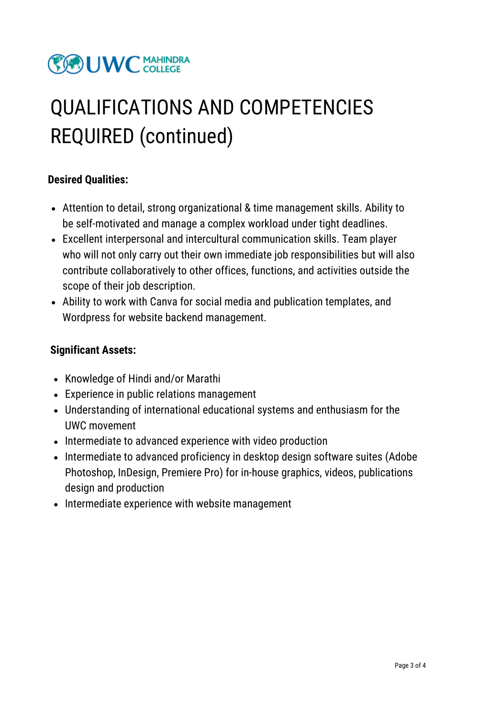### **COUW C MAHINDRA**

# QUALIFICATIONS AND COMPETENCIES REQUIRED (continued)

#### **Desired Qualities:**

- Attention to detail, strong organizational & time management skills. Ability to be self-motivated and manage a complex workload under tight deadlines.
- Excellent interpersonal and intercultural communication skills. Team player who will not only carry out their own immediate job responsibilities but will also contribute collaboratively to other offices, functions, and activities outside the scope of their job description.
- Ability to work with Canva for social media and publication templates, and Wordpress for website backend management.

#### **Significant Assets:**

- Knowledge of Hindi and/or Marathi
- Experience in public relations management
- Understanding of international educational systems and enthusiasm for the UWC movement
- Intermediate to advanced experience with video production
- Intermediate to advanced proficiency in desktop design software suites (Adobe Photoshop, InDesign, Premiere Pro) for in-house graphics, videos, publications design and production
- Intermediate experience with website management